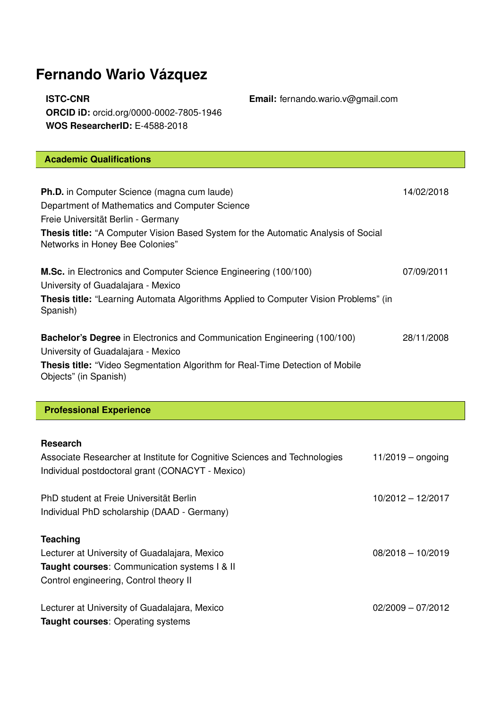# **Fernando Wario Vázquez**

**ISTC-CNR Email:** fernando.wario.v@gmail.com **ORCID iD:** orcid.org/0000-0002-7805-1946 **WOS ResearcherID:** E-4588-2018

# **Academic Qualifications Ph.D.** in Computer Science (magna cum laude) 14/02/2018 Department of Mathematics and Computer Science Freie Universität Berlin - Germany **Thesis title:** "A Computer Vision Based System for the Automatic Analysis of Social Networks in Honey Bee Colonies" **M.Sc.** in Electronics and Computer Science Engineering (100/100) 07/09/2011 University of Guadalajara - Mexico **Thesis title:** "Learning Automata Algorithms Applied to Computer Vision Problems" (in Spanish) **Bachelor's Degree** in Electronics and Communication Engineering (100/100) 28/11/2008 University of Guadalajara - Mexico **Thesis title:** "Video Segmentation Algorithm for Real-Time Detection of Mobile Objects" (in Spanish)

### **Professional Experience**

#### **Research**

| Associate Researcher at Institute for Cognitive Sciences and Technologies<br>Individual postdoctoral grant (CONACYT - Mexico) | $11/2019$ – ongoing |
|-------------------------------------------------------------------------------------------------------------------------------|---------------------|
| PhD student at Freie Universität Berlin                                                                                       | $10/2012 - 12/2017$ |
| Individual PhD scholarship (DAAD - Germany)                                                                                   |                     |
| <b>Teaching</b>                                                                                                               |                     |
| Lecturer at University of Guadalajara, Mexico                                                                                 | $08/2018 - 10/2019$ |
| <b>Taught courses: Communication systems   &amp; II</b>                                                                       |                     |
| Control engineering, Control theory II                                                                                        |                     |
| Lecturer at University of Guadalajara, Mexico                                                                                 | $02/2009 - 07/2012$ |
| <b>Taught courses: Operating systems</b>                                                                                      |                     |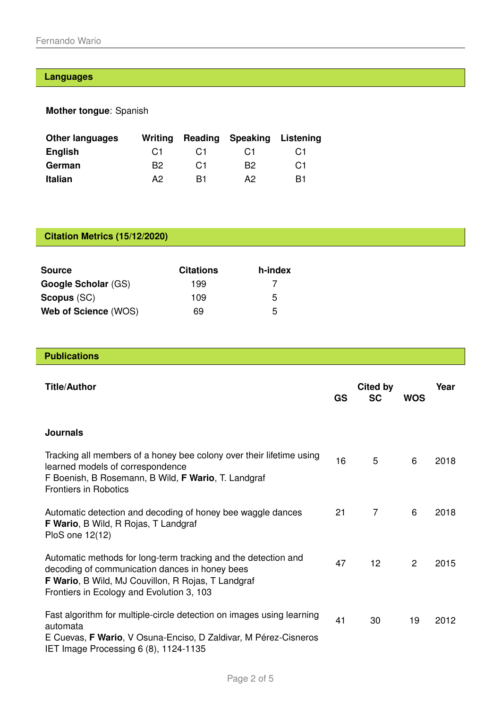## **Languages**

**Mother tongue**: Spanish

| <b>Other languages</b> | Writing        |                | Reading Speaking | Listening      |
|------------------------|----------------|----------------|------------------|----------------|
| <b>English</b>         | C <sub>1</sub> | C <sub>1</sub> | C <sub>1</sub>   | C <sub>1</sub> |
| German                 | B2.            | C <sub>1</sub> | B <sub>2</sub>   | C <sub>1</sub> |
| <b>Italian</b>         | A2             | R1             | A2.              | B1             |

# **Citation Metrics (15/12/2020)**

| <b>Source</b>              | <b>Citations</b> | h-index |
|----------------------------|------------------|---------|
| <b>Google Scholar (GS)</b> | 199              |         |
| <b>Scopus (SC)</b>         | 109              | 5       |
| Web of Science (WOS)       | 69               | 5       |

**Publications**

| <b>Title/Author</b>                                                                                                                                                                                                 | <b>GS</b> | Cited by<br><b>SC</b> | <b>WOS</b> | Year |
|---------------------------------------------------------------------------------------------------------------------------------------------------------------------------------------------------------------------|-----------|-----------------------|------------|------|
| <b>Journals</b>                                                                                                                                                                                                     |           |                       |            |      |
| Tracking all members of a honey bee colony over their lifetime using<br>learned models of correspondence<br>F Boenish, B Rosemann, B Wild, F Wario, T. Landgraf<br><b>Frontiers in Robotics</b>                     | 16        | 5                     | 6          | 2018 |
| Automatic detection and decoding of honey bee waggle dances<br><b>F Wario, B Wild, R Rojas, T Landgraf</b><br>PloS one 12(12)                                                                                       | 21        | 7                     | 6          | 2018 |
| Automatic methods for long-term tracking and the detection and<br>decoding of communication dances in honey bees<br>F Wario, B Wild, MJ Couvillon, R Rojas, T Landgraf<br>Frontiers in Ecology and Evolution 3, 103 | 47        | 12 <sup>2</sup>       | 2          | 2015 |
| Fast algorithm for multiple-circle detection on images using learning<br>automata<br>E Cuevas, F Wario, V Osuna-Enciso, D Zaldivar, M Pérez-Cisneros<br>IET Image Processing 6 (8), 1124-1135                       | 41        | 30                    | 19         | 2012 |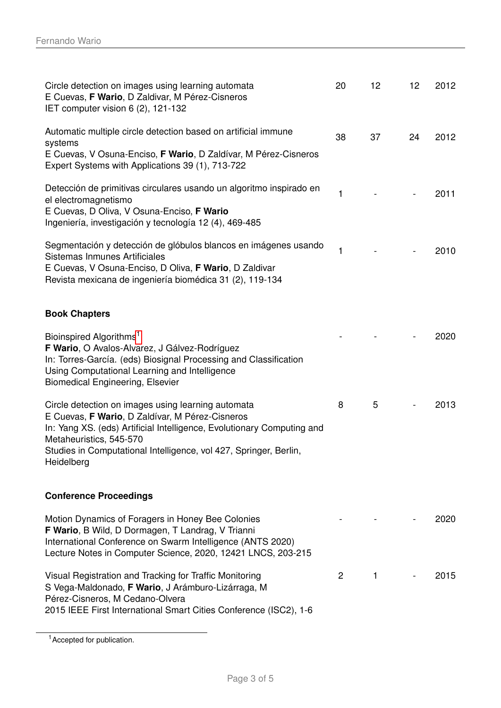| Circle detection on images using learning automata<br>E Cuevas, F Wario, D Zaldivar, M Pérez-Cisneros<br>IET computer vision 6 (2), 121-132                                                                                                                                                   | 20             | 12           | 12 | 2012 |
|-----------------------------------------------------------------------------------------------------------------------------------------------------------------------------------------------------------------------------------------------------------------------------------------------|----------------|--------------|----|------|
| Automatic multiple circle detection based on artificial immune<br>systems<br>E Cuevas, V Osuna-Enciso, F Wario, D Zaldívar, M Pérez-Cisneros<br>Expert Systems with Applications 39 (1), 713-722                                                                                              | 38             | 37           | 24 | 2012 |
| Detección de primitivas circulares usando un algoritmo inspirado en<br>el electromagnetismo<br>E Cuevas, D Oliva, V Osuna-Enciso, F Wario<br>Ingeniería, investigación y tecnología 12 (4), 469-485                                                                                           | 1              |              |    | 2011 |
| Segmentación y detección de glóbulos blancos en imágenes usando<br>Sistemas Inmunes Artificiales<br>E Cuevas, V Osuna-Enciso, D Oliva, F Wario, D Zaldivar<br>Revista mexicana de ingeniería biomédica 31 (2), 119-134                                                                        | 1              |              |    | 2010 |
| <b>Book Chapters</b>                                                                                                                                                                                                                                                                          |                |              |    |      |
| Bioinspired Algorithms <sup>1</sup><br>F Wario, O Avalos-Alvarez, J Gálvez-Rodríguez<br>In: Torres-García. (eds) Biosignal Processing and Classification<br>Using Computational Learning and Intelligence<br><b>Biomedical Engineering, Elsevier</b>                                          |                |              |    | 2020 |
| Circle detection on images using learning automata<br>E Cuevas, F Wario, D Zaldívar, M Pérez-Cisneros<br>In: Yang XS. (eds) Artificial Intelligence, Evolutionary Computing and<br>Metaheuristics, 545-570<br>Studies in Computational Intelligence, vol 427, Springer, Berlin,<br>Heidelberg | 8              | 5            |    | 2013 |
| <b>Conference Proceedings</b>                                                                                                                                                                                                                                                                 |                |              |    |      |
| Motion Dynamics of Foragers in Honey Bee Colonies<br>F Wario, B Wild, D Dormagen, T Landrag, V Trianni<br>International Conference on Swarm Intelligence (ANTS 2020)<br>Lecture Notes in Computer Science, 2020, 12421 LNCS, 203-215                                                          |                |              |    | 2020 |
| Visual Registration and Tracking for Traffic Monitoring<br>S Vega-Maldonado, F Wario, J Arámburo-Lizárraga, M<br>Pérez-Cisneros, M Cedano-Olvera<br>2015 IEEE First International Smart Cities Conference (ISC2), 1-6                                                                         | $\overline{2}$ | $\mathbf{1}$ |    | 2015 |

<span id="page-2-0"></span><sup>&</sup>lt;sup>1</sup> Accepted for publication.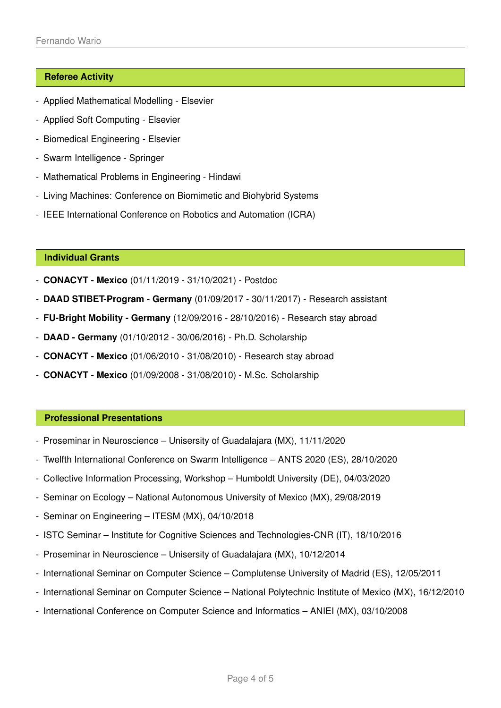### **Referee Activity**

- Applied Mathematical Modelling Elsevier
- Applied Soft Computing Elsevier
- Biomedical Engineering Elsevier
- Swarm Intelligence Springer
- Mathematical Problems in Engineering Hindawi
- Living Machines: Conference on Biomimetic and Biohybrid Systems
- IEEE International Conference on Robotics and Automation (ICRA)

### **Individual Grants**

- **CONACYT Mexico** (01/11/2019 31/10/2021) Postdoc
- **DAAD STIBET-Program Germany** (01/09/2017 30/11/2017) Research assistant
- **FU-Bright Mobility Germany** (12/09/2016 28/10/2016) Research stay abroad
- **DAAD Germany** (01/10/2012 30/06/2016) Ph.D. Scholarship
- **CONACYT Mexico** (01/06/2010 31/08/2010) Research stay abroad
- **CONACYT Mexico** (01/09/2008 31/08/2010) M.Sc. Scholarship

### **Professional Presentations**

- Proseminar in Neuroscience Unisersity of Guadalajara (MX), 11/11/2020
- Twelfth International Conference on Swarm Intelligence ANTS 2020 (ES), 28/10/2020
- Collective Information Processing, Workshop Humboldt University (DE), 04/03/2020
- Seminar on Ecology National Autonomous University of Mexico (MX), 29/08/2019
- Seminar on Engineering ITESM (MX), 04/10/2018
- ISTC Seminar Institute for Cognitive Sciences and Technologies-CNR (IT), 18/10/2016
- Proseminar in Neuroscience Unisersity of Guadalajara (MX), 10/12/2014
- International Seminar on Computer Science Complutense University of Madrid (ES), 12/05/2011
- International Seminar on Computer Science National Polytechnic Institute of Mexico (MX), 16/12/2010
- International Conference on Computer Science and Informatics ANIEI (MX), 03/10/2008